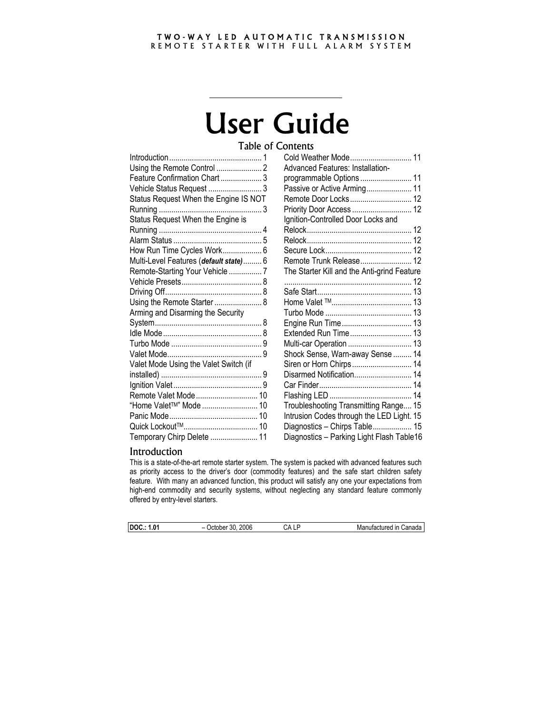#### TWO-WAY LED AUTOMATIC TRANSMISSION REMOTE STARTER WITH FULL ALARM SYSTEM

# User Guide

Table of Contents

| Feature Confirmation Chart  3          |  |
|----------------------------------------|--|
| Vehicle Status Request  3              |  |
| Status Request When the Engine IS NOT  |  |
|                                        |  |
| Status Request When the Engine is      |  |
|                                        |  |
|                                        |  |
| How Run Time Cycles Work 6             |  |
| Multi-Level Features (default state) 6 |  |
| Remote-Starting Your Vehicle  7        |  |
|                                        |  |
|                                        |  |
| Using the Remote Starter  8            |  |
| Arming and Disarming the Security      |  |
|                                        |  |
|                                        |  |
|                                        |  |
|                                        |  |
| Valet Mode Using the Valet Switch (if  |  |
|                                        |  |
|                                        |  |
| Remote Valet Mode 10                   |  |
| "Home Valet™" Mode  10                 |  |
|                                        |  |
|                                        |  |
| Temporary Chirp Delete  11             |  |

| Cold Weather Mode 11                        |  |
|---------------------------------------------|--|
| Advanced Features: Installation-            |  |
| programmable Options  11                    |  |
| Passive or Active Arming 11                 |  |
| Remote Door Locks 12                        |  |
| Priority Door Access  12                    |  |
| Ignition-Controlled Door Locks and          |  |
|                                             |  |
|                                             |  |
|                                             |  |
| Remote Trunk Release 12                     |  |
| The Starter Kill and the Anti-grind Feature |  |
|                                             |  |
|                                             |  |
|                                             |  |
|                                             |  |
|                                             |  |
| Extended Run Time 13                        |  |
| Multi-car Operation  13                     |  |
| Shock Sense, Warn-away Sense  14            |  |
| Siren or Horn Chirps 14                     |  |
| Disarmed Notification 14                    |  |
|                                             |  |
|                                             |  |
| Troubleshooting Transmitting Range 15       |  |
| Intrusion Codes through the LED Light. 15   |  |
| Diagnostics - Chirps Table 15               |  |
| Diagnostics - Parking Light Flash Table16   |  |

# Introduction

This is a state-of-the-art remote starter system. The system is packed with advanced features such as priority access to the driver's door (commodity features) and the safe start children safety feature. With many an advanced function, this product will satisfy any one your expectations from high-end commodity and security systems, without neglecting any standard feature commonly offered by entry-level starters.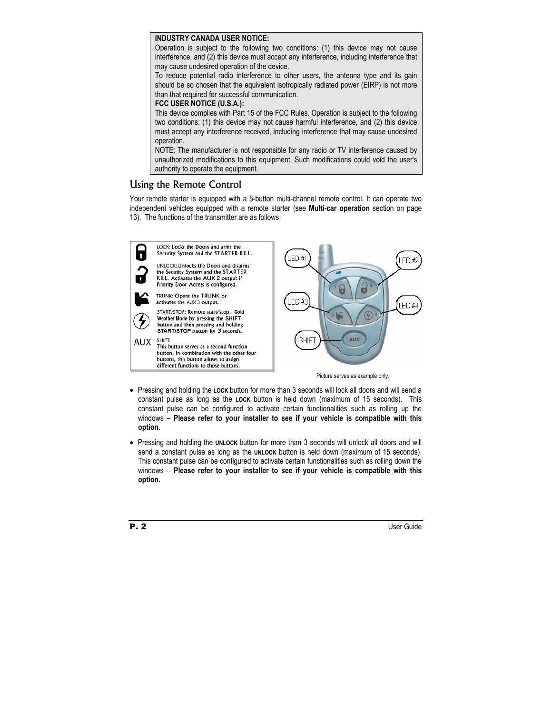## **INDUSTRY CANADA USER NOTICE:**

Operation is subject to the following two conditions: (1) this device may not cause interference, and (2) this device must accept any interference, including interference that may cause undesired operation of the device.

To reduce potential radio interference to other users, the antenna type and its gain should be so chosen that the equivalent isotropically radiated power (EIRP) is not more than that required for successful communication.

## **FCC USER NOTICE (U.S.A.):**

This device complies with Part 15 of the FCC Rules. Operation is subject to the following two conditions: (1) this device may not cause harmful interference, and (2) this device must accept any interference received, including interference that may cause undesired operation.

NOTE: The manufacturer is not responsible for any radio or TV interference caused by unauthorized modifications to this equipment. Such modifications could void the user's authority to operate the equipment.

# Using the Remote Control

Your remote starter is equipped with a 5-button multi-channel remote control. It can operate two independent vehicles equipped with a remote starter (see **Multi-car operation** section on page 13). The functions of the transmitter are as follows:



- Pressing and holding the **LOCK** button for more than 3 seconds will lock all doors and will send a constant pulse as long as the **LOCK** button is held down (maximum of 15 seconds). This constant pulse can be configured to activate certain functionalities such as rolling up the windows – **Please refer to your installer to see if your vehicle is compatible with this option.**
- Pressing and holding the **UNLOCK** button for more than 3 seconds will unlock all doors and will send a constant pulse as long as the **UNLOCK** button is held down (maximum of 15 seconds). This constant pulse can be configured to activate certain functionalities such as rolling down the windows – **Please refer to your installer to see if your vehicle is compatible with this option.**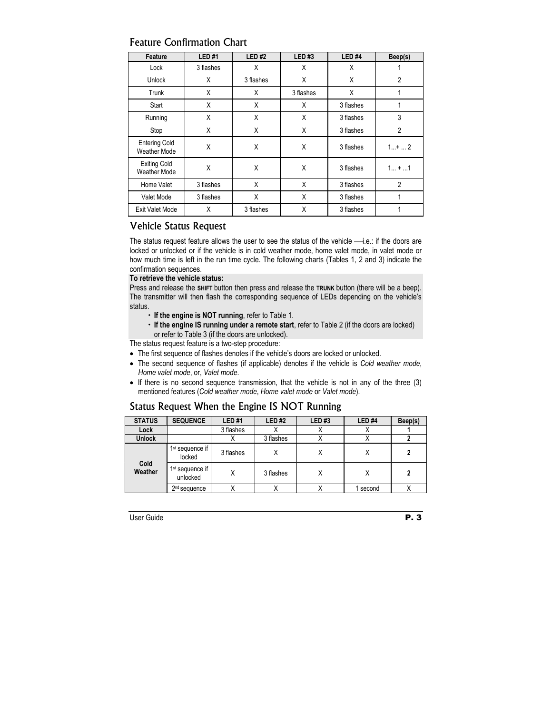| Feature                              | <b>LED#1</b> | <b>LED#2</b> | <b>LED#3</b> | LED <sub>#4</sub> | Beep(s)        |
|--------------------------------------|--------------|--------------|--------------|-------------------|----------------|
| Lock                                 | 3 flashes    | X            | X            | X                 |                |
| Unlock                               | X            | 3 flashes    | X            | X                 | $\overline{2}$ |
| Trunk                                | X            | X            | 3 flashes    | X                 | 1              |
| Start                                | X            | X            | X            | 3 flashes         | 1              |
| Running                              | X            | X            | X            | 3 flashes         | 3              |
| Stop                                 | X            | X            | X            | 3 flashes         | $\overline{2}$ |
| <b>Entering Cold</b><br>Weather Mode | X            | X            | X            | 3 flashes         | $1+2$          |
| <b>Exiting Cold</b><br>Weather Mode  | X            | X            | X            | 3 flashes         | $1 +  1$       |
| Home Valet                           | 3 flashes    | X            | X            | 3 flashes         | $\overline{2}$ |
| Valet Mode                           | 3 flashes    | X            | X            | 3 flashes         | 1              |
| <b>Exit Valet Mode</b>               | X            | 3 flashes    | X            | 3 flashes         | 1              |

# Feature Confirmation Chart

# Vehicle Status Request

The status request feature allows the user to see the status of the vehicle  $\longrightarrow$  i.e.: if the doors are locked or unlocked or if the vehicle is in cold weather mode, home valet mode, in valet mode or how much time is left in the run time cycle. The following charts (Tables 1, 2 and 3) indicate the confirmation sequences.

#### **To retrieve the vehicle status:**

Press and release the **SHIFT** button then press and release the **TRUNK** button (there will be a beep). The transmitter will then flash the corresponding sequence of LEDs depending on the vehicle's status.

- x **If the engine is NOT running**, refer to Table 1.
- x **If the engine IS running under a remote start**, refer to Table 2 (if the doors are locked) or refer to Table 3 (if the doors are unlocked).

The status request feature is a two-step procedure:

- The first sequence of flashes denotes if the vehicle's doors are locked or unlocked.
- The second sequence of flashes (if applicable) denotes if the vehicle is *Cold weather mode*, *Home valet mode*, or, *Valet mode*.
- If there is no second sequence transmission, that the vehicle is not in any of the three (3) mentioned features (*Cold weather mode*, *Home valet mode* or *Valet mode*).

# Status Request When the Engine IS NOT Running

| <b>STATUS</b>   | <b>SEQUENCE</b>                         | <b>LED#1</b> | <b>LED#2</b> | LED#3    | LED <sub>#4</sub> | Beep(s) |
|-----------------|-----------------------------------------|--------------|--------------|----------|-------------------|---------|
| Lock            |                                         | 3 flashes    |              | $\cdots$ |                   |         |
| <b>Unlock</b>   |                                         | Λ            | 3 flashes    | ⋏        |                   |         |
|                 | $1st$ sequence if<br>locked             | 3 flashes    | ⋏            | Χ        | X                 | 2       |
| Cold<br>Weather | 1 <sup>st</sup> sequence if<br>unlocked | Χ            | 3 flashes    | Χ        | Χ                 | 2       |
|                 | 2 <sup>nd</sup> sequence                |              |              |          | second            |         |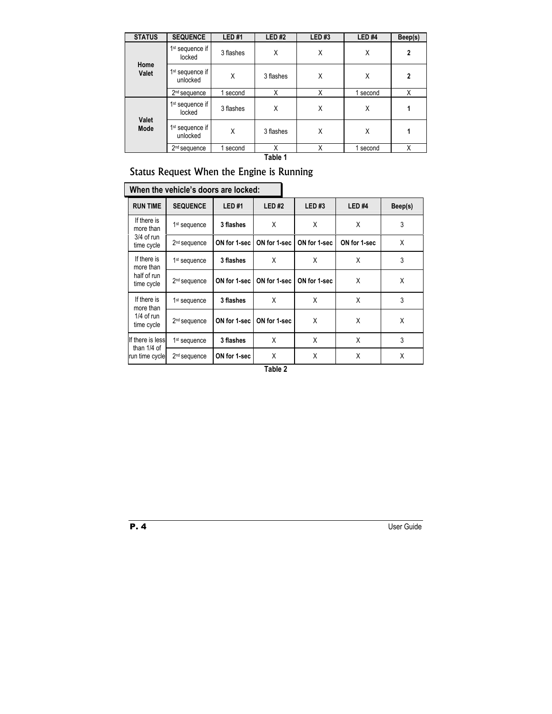| <b>STATUS</b> | <b>SEQUENCE</b>                         | <b>LED#1</b> | LED#2     | LED#3 | LED#4    | Beep(s)        |
|---------------|-----------------------------------------|--------------|-----------|-------|----------|----------------|
|               | 1 <sup>st</sup> sequence if<br>locked   | 3 flashes    | X         | X     | X        | $\overline{2}$ |
| Home<br>Valet | 1 <sup>st</sup> sequence if<br>unlocked | X            | 3 flashes | Χ     | Χ        | $\overline{2}$ |
|               | 2 <sup>nd</sup> sequence<br>second      |              | X         | X     | 1 second | Χ              |
|               | 1 <sup>st</sup> sequence if<br>locked   | 3 flashes    | X         | Χ     | X        |                |
| Valet<br>Mode | 1 <sup>st</sup> sequence if<br>unlocked | Χ            | 3 flashes | Χ     | Χ        |                |
|               | 2 <sup>nd</sup> sequence                | second       | X         | Χ     | second   | Χ              |

**Table 1** 

# Status Request When the Engine is Running

|                                   | When the vehicle's doors are locked: |              |              |              |                   |         |  |  |  |
|-----------------------------------|--------------------------------------|--------------|--------------|--------------|-------------------|---------|--|--|--|
| <b>RUN TIME</b>                   | <b>SEQUENCE</b>                      | LED#1        | LED#2        | LED#3        | LED <sub>#4</sub> | Beep(s) |  |  |  |
| If there is<br>more than          | 1 <sup>st</sup> sequence             | 3 flashes    | X            | X            | X                 | 3       |  |  |  |
| 3/4 of run<br>time cycle          | 2 <sup>nd</sup> sequence             | ON for 1-sec | ON for 1-sec | ON for 1-sec | ON for 1-sec      | X       |  |  |  |
| If there is<br>more than          | 1 <sup>st</sup> sequence             | 3 flashes    | X            | X            | X                 | 3       |  |  |  |
| half of run<br>time cycle         | 2 <sup>nd</sup> sequence             | ON for 1-sec | ON for 1-sec | ON for 1-sec | X                 | X       |  |  |  |
| If there is<br>more than          | 1 <sup>st</sup> sequence             | 3 flashes    | X            | X            | X                 | 3       |  |  |  |
| $1/4$ of run<br>time cycle        | 2 <sup>nd</sup> sequence             | ON for 1-sec | ON for 1-sec | X            | X                 | X       |  |  |  |
| If there is less<br>than $1/4$ of | 1 <sup>st</sup> sequence             | 3 flashes    | X            | X            | X                 | 3       |  |  |  |
| run time cycle                    | 2 <sup>nd</sup> sequence             | ON for 1-sec | X            | X            | X                 | X       |  |  |  |

**Table 2**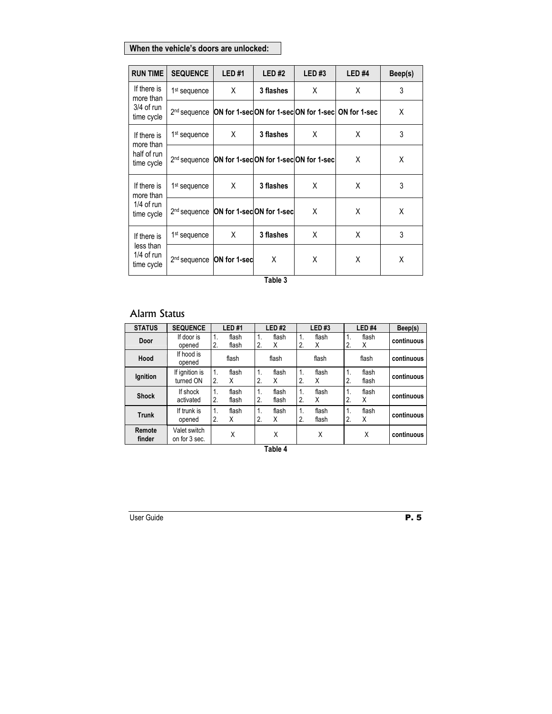# **When the vehicle's doors are unlocked:**

| <b>RUN TIME</b>                         | <b>SEQUENCE</b>          | <b>LED#1</b>                            | LED#2     | LED#3                                | LED <sub>#4</sub>                                 | Beep(s) |
|-----------------------------------------|--------------------------|-----------------------------------------|-----------|--------------------------------------|---------------------------------------------------|---------|
| If there is<br>more than                | 1 <sup>st</sup> sequence | X                                       | 3 flashes | X                                    | Χ                                                 | 3       |
| $3/4$ of run<br>time cycle              | 2 <sup>nd</sup> sequence |                                         |           |                                      | ON for 1-secON for 1-secON for 1-sec ON for 1-sec | X       |
| If there is<br>more than                | 1 <sup>st</sup> sequence | X                                       | 3 flashes | X                                    | X                                                 | 3       |
| half of run<br>time cycle               | 2 <sup>nd</sup> sequence |                                         |           | ON for 1-secON for 1-secON for 1-sec | X                                                 | X       |
| If there is<br>more than                | 1 <sup>st</sup> sequence | X                                       | 3 flashes | X                                    | X                                                 | 3       |
| $1/4$ of run<br>time cycle              | 2 <sup>nd</sup> sequence | ON for 1-secON for 1-sec                |           | X                                    | X                                                 | X       |
| If there is                             | 1 <sup>st</sup> sequence | X                                       | 3 flashes | X                                    | Χ                                                 | 3       |
| less than<br>$1/4$ of run<br>time cycle |                          | X<br>$2nd$ sequence <b>ON</b> for 1-sec | X         | X                                    | Χ                                                 |         |

**Table 3** 

# Alarm Status

| <b>STATUS</b>    | <b>SEQUENCE</b>               | LED#1                                                |                      | <b>LED#2</b>   |                        | <b>LED#3</b>   |                                | LED <sub>#4</sub> | Beep(s)    |
|------------------|-------------------------------|------------------------------------------------------|----------------------|----------------|------------------------|----------------|--------------------------------|-------------------|------------|
| Door             | If door is<br>opened          | $\mathbf{1}$ .<br>flash<br>2.<br>flash               | 1.<br>2.             | flash<br>X     | 1.<br>2.               | flash<br>X     | $\mathbf{1}$ .<br>2.           | flash<br>X        | continuous |
| Hood             | If hood is<br>opened          | flash                                                |                      | flash          |                        | flash          |                                | flash             | continuous |
| Ignition         | If ignition is<br>turned ON   | $\overline{1}$ .<br>flash<br>2.<br>Χ                 | $\mathbf{1}$ .<br>2. | flash<br>X     | 1.<br>$\mathbf{2}$     | flash<br>X     | $\mathbf{1}$ .<br>$\mathbf{2}$ | flash<br>flash    | continuous |
| <b>Shock</b>     | If shock<br>activated         | $\mathbf{1}$ .<br>flash<br>$\overline{2}$ .<br>flash | 1.<br>2.             | flash<br>flash | 1.<br>$\overline{2}$ . | flash<br>X     | $\mathbf{1}$ .<br>2.           | flash<br>X        | continuous |
| <b>Trunk</b>     | If trunk is<br>opened         | 1.<br>flash<br>2.<br>Χ                               | 1.<br>2.             | flash<br>X     | 1.<br>$\overline{2}$   | flash<br>flash | $\mathbf{1}$<br>2.             | flash<br>X        | continuous |
| Remote<br>finder | Valet switch<br>on for 3 sec. | Χ                                                    |                      | Χ              |                        | Χ              |                                | χ                 | continuous |

**Table 4**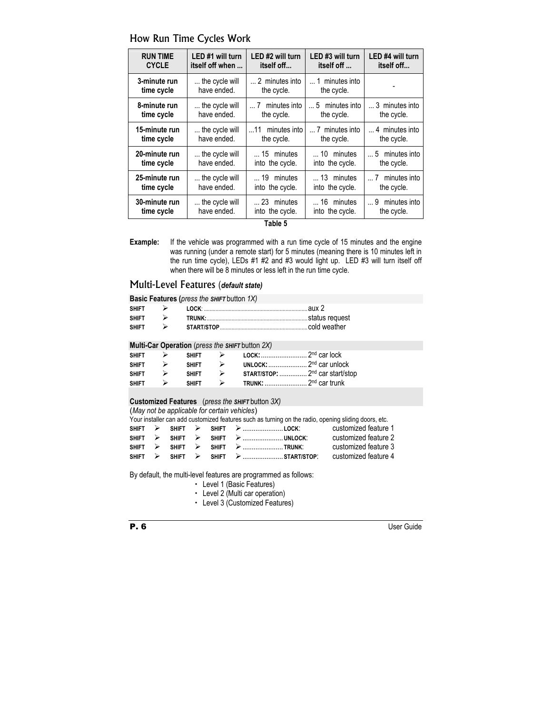| <b>RUN TIME</b>             | LED #1 will turn              | LED #2 will turn                         | LED #3 will turn                      | LED #4 will turn                        |
|-----------------------------|-------------------------------|------------------------------------------|---------------------------------------|-----------------------------------------|
| <b>CYCLE</b>                | itself off when               | itself off                               | itself off                            | itself off                              |
| 3-minute run                | the cycle will                | 2 minutes into                           | 1 minutes into                        |                                         |
| time cycle                  | have ended.                   | the cycle.                               | the cycle.                            |                                         |
| 8-minute run                | the cycle will                | $\dots$ 7 minutes into                   | $\dots$ 5 minutes into                | 3 minutes into                          |
| time cycle                  | have ended.                   | the cycle.                               | the cycle.                            | the cycle.                              |
| 15-minute run<br>time cycle | the cycle will<br>have ended. | minutes into<br>$\dots$ 11<br>the cycle. | 7 minutes into<br>the cycle.          | 4 minutes into<br>the cycle.            |
| 20-minute run               | the cycle will                | $\dots$ 15 minutes                       | $\dots$ 10 minutes                    | $\dots$ 5 minutes into                  |
| time cycle                  | have ended.                   | into the cycle.                          | into the cycle.                       | the cycle.                              |
| 25-minute run<br>time cycle | the cycle will<br>have ended. | 19 minutes<br>into the cycle.            | $\dots$ 13 minutes<br>into the cycle. | minutes into<br>$\dots$ 7<br>the cycle. |
| 30-minute run<br>time cycle | the cycle will<br>have ended. | 23 minutes<br>into the cycle.            | 16 minutes<br>into the cycle.         | minutes into<br>9<br>the cycle.         |

# How Run Time Cycles Work

**Table 5** 

**Example:** If the vehicle was programmed with a run time cycle of 15 minutes and the engine was running (under a remote start) for 5 minutes (meaning there is 10 minutes left in the run time cycle), LEDs #1 #2 and #3 would light up. LED #3 will turn itself off when there will be 8 minutes or less left in the run time cycle.

# Multi-Level Features (*default state)*

**Basic Features (***press the SHIFT* button *1X)*

| <b>SHIFT</b> |  | .aux 2 |
|--------------|--|--------|
| <b>SHIFT</b> |  |        |
| <b>SHIFT</b> |  |        |

#### **Multi-Car Operation** (*press the SHIFT* button *2X)*

| <b>SHIFT</b> | $\rightarrow$    | <b>SHIFT</b> |                                             |
|--------------|------------------|--------------|---------------------------------------------|
| <b>SHIFT</b> | $\rightarrow$    | <b>SHIFT</b> | UNLOCK: $\ldots$ 2 <sup>nd</sup> car unlock |
| <b>SHIFT</b> | $\rightarrow$    | <b>SHIFT</b> | START/STOP:  2 <sup>nd</sup> car start/stop |
| <b>SHIFT</b> | $\triangleright$ | <b>SHIFT</b> |                                             |

#### **Customized Features** (*press the SHIFT* button *3X)*

(*May not be applicable for certain vehicles*)

Your installer can add customized features such as turning on the radio, opening sliding doors, etc.

|  |  |                                                                                                                                                                                  | customized feature 1 |
|--|--|----------------------------------------------------------------------------------------------------------------------------------------------------------------------------------|----------------------|
|  |  | $SHIFT \rightarrow SHIFT \rightarrow SHIFT \rightarrow $                                                                                                                         | customized feature 2 |
|  |  |                                                                                                                                                                                  | customized feature 3 |
|  |  | $\text{SHIFT} \quad \triangleright \quad \text{SHIFT} \quad \triangleright \quad \text{SHIFT} \quad \triangleright \quad \dots \dots \dots \dots \dots \dots \text{START/STOP:}$ | customized feature 4 |

By default, the multi-level features are programmed as follows:

- Level 1 (Basic Features)
- $\cdot$  Level 2 (Multi car operation)
- Level 3 (Customized Features)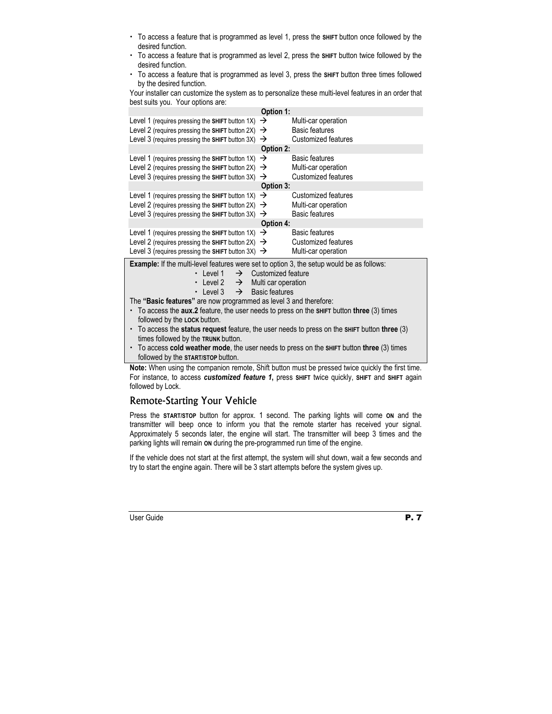- x To access a feature that is programmed as level 1, press the **SHIFT** button once followed by the desired function.
- x To access a feature that is programmed as level 2, press the **SHIFT** button twice followed by the desired function.
- x To access a feature that is programmed as level 3, press the **SHIFT** button three times followed by the desired function.

Your installer can customize the system as to personalize these multi-level features in an order that best suits you. Your options are:

| Option 1:                                                                                                                      |           |                                              |  |  |  |
|--------------------------------------------------------------------------------------------------------------------------------|-----------|----------------------------------------------|--|--|--|
| Level 1 (requires pressing the SHIFT button 1X) $\rightarrow$<br>Level 2 (requires pressing the SHIFT button 2X) $\rightarrow$ |           | Multi-car operation<br><b>Basic features</b> |  |  |  |
| Level 3 (requires pressing the SHIFT button $3X$ ) $\rightarrow$                                                               |           | Customized features                          |  |  |  |
| <b>Option 2:</b>                                                                                                               |           |                                              |  |  |  |
| Level 1 (requires pressing the SHIFT button 1X) $\rightarrow$                                                                  |           | <b>Basic features</b>                        |  |  |  |
| Level 2 (requires pressing the SHIFT button 2X) $\rightarrow$                                                                  |           | Multi-car operation                          |  |  |  |
| Level 3 (requires pressing the SHIFT button $3X$ ) $\rightarrow$                                                               |           | <b>Customized features</b>                   |  |  |  |
|                                                                                                                                | Option 3: |                                              |  |  |  |
| Level 1 (requires pressing the SHIFT button 1X) $\rightarrow$                                                                  |           | Customized features                          |  |  |  |
| Level 2 (requires pressing the SHIFT button 2X) $\rightarrow$                                                                  |           | Multi-car operation                          |  |  |  |
| Level 3 (requires pressing the SHIFT button $3X$ ) $\rightarrow$                                                               |           | <b>Basic features</b>                        |  |  |  |
| <b>Option 4:</b>                                                                                                               |           |                                              |  |  |  |
| Level 1 (requires pressing the SHIFT button 1X) $\rightarrow$                                                                  |           | <b>Basic features</b>                        |  |  |  |
| Level 2 (requires pressing the SHIFT button 2X) $\rightarrow$                                                                  |           | Customized features                          |  |  |  |
| Level 3 (requires pressing the SHIFT button 3X) $\rightarrow$                                                                  |           | Multi-car operation                          |  |  |  |

**Example:** If the multi-level features were set to option 3, the setup would be as follows:

- $\cdot$  Level 1  $\rightarrow$  Customized feature
- Evel 2  $\rightarrow$  Multi car operation
- $\cdot$  Level 3  $\rightarrow$  Basic features

The **"Basic features"** are now programmed as level 3 and therefore:

- x To access the **aux.2** feature, the user needs to press on the **SHIFT** button **three** (3) times followed by the **LOCK** button.
- x To access the **status request** feature, the user needs to press on the **SHIFT** button **three** (3) times followed by the **TRUNK** button.
- x To access **cold weather mode**, the user needs to press on the **SHIFT** button **three** (3) times followed by the **START/STOP** button.

**Note:** When using the companion remote, Shift button must be pressed twice quickly the first time. For instance, to access *customized feature 1***,** press **SHIFT** twice quickly, **SHIFT** and **SHIFT** again followed by Lock.

# Remote-Starting Your Vehicle

Press the **START/STOP** button for approx. 1 second. The parking lights will come **ON** and the transmitter will beep once to inform you that the remote starter has received your signal. Approximately 5 seconds later, the engine will start. The transmitter will beep 3 times and the parking lights will remain **ON** during the pre-programmed run time of the engine.

If the vehicle does not start at the first attempt, the system will shut down, wait a few seconds and try to start the engine again. There will be 3 start attempts before the system gives up.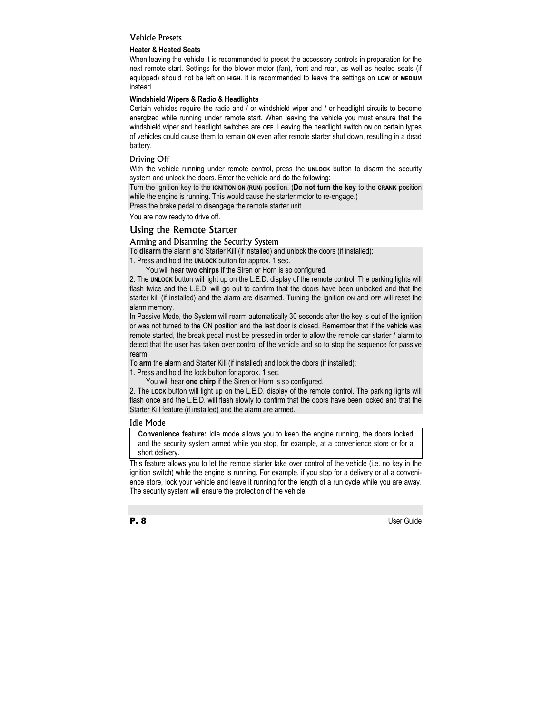## Vehicle Presets

#### **Heater & Heated Seats**

When leaving the vehicle it is recommended to preset the accessory controls in preparation for the next remote start. Settings for the blower motor (fan), front and rear, as well as heated seats (if equipped) should not be left on **HIGH**. It is recommended to leave the settings on **LOW** or **MEDIUM** instead.

## **Windshield Wipers & Radio & Headlights**

Certain vehicles require the radio and / or windshield wiper and / or headlight circuits to become energized while running under remote start. When leaving the vehicle you must ensure that the windshield wiper and headlight switches are **OFF**. Leaving the headlight switch **ON** on certain types of vehicles could cause them to remain **ON** even after remote starter shut down, resulting in a dead battery.

## Driving Off

With the vehicle running under remote control, press the UNLOCK button to disarm the security system and unlock the doors. Enter the vehicle and do the following:

Turn the ignition key to the **IGNITION ON (RUN)** position. (**Do not turn the key** to the **CRANK** position while the engine is running. This would cause the starter motor to re-engage.)

Press the brake pedal to disengage the remote starter unit.

You are now ready to drive off.

# Using the Remote Starter

#### Arming and Disarming the Security System

To **disarm** the alarm and Starter Kill (if installed) and unlock the doors (if installed):

1. Press and hold the **UNLOCK** button for approx. 1 sec.

You will hear **two chirps** if the Siren or Horn is so configured.

2. The **UNLOCK** button will light up on the L.E.D. display of the remote control. The parking lights will flash twice and the L.E.D. will go out to confirm that the doors have been unlocked and that the starter kill (if installed) and the alarm are disarmed. Turning the ignition ON and OFF will reset the alarm memory.

In Passive Mode, the System will rearm automatically 30 seconds after the key is out of the ignition or was not turned to the ON position and the last door is closed. Remember that if the vehicle was remote started, the break pedal must be pressed in order to allow the remote car starter / alarm to detect that the user has taken over control of the vehicle and so to stop the sequence for passive rearm.

To **arm** the alarm and Starter Kill (if installed) and lock the doors (if installed):

1. Press and hold the lock button for approx. 1 sec.

You will hear **one chirp** if the Siren or Horn is so configured.

2. The **LOCK** button will light up on the L.E.D. display of the remote control. The parking lights will flash once and the L.E.D. will flash slowly to confirm that the doors have been locked and that the Starter Kill feature (if installed) and the alarm are armed.

#### Idle Mode

**Convenience feature:** Idle mode allows you to keep the engine running, the doors locked and the security system armed while you stop, for example, at a convenience store or for a short delivery.

This feature allows you to let the remote starter take over control of the vehicle (i.e. no key in the ignition switch) while the engine is running. For example, if you stop for a delivery or at a convenience store, lock your vehicle and leave it running for the length of a run cycle while you are away. The security system will ensure the protection of the vehicle.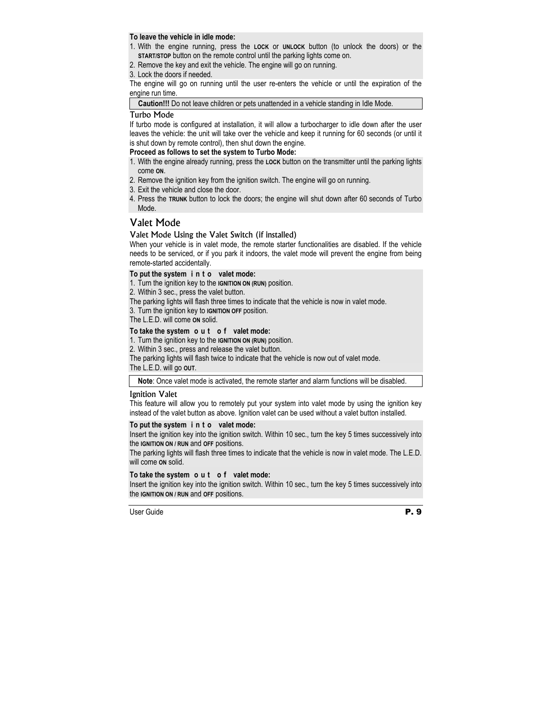## **To leave the vehicle in idle mode:**

- 1. With the engine running, press the **LOCK** or **UNLOCK** button (to unlock the doors) or the **START/STOP** button on the remote control until the parking lights come on.
- 2. Remove the key and exit the vehicle. The engine will go on running.
- 3. Lock the doors if needed.

The engine will go on running until the user re-enters the vehicle or until the expiration of the engine run time.

**Caution!!!** Do not leave children or pets unattended in a vehicle standing in Idle Mode.

#### Turbo Mode

If turbo mode is configured at installation, it will allow a turbocharger to idle down after the user leaves the vehicle: the unit will take over the vehicle and keep it running for 60 seconds (or until it is shut down by remote control), then shut down the engine.

#### **Proceed as follows to set the system to Turbo Mode:**

- 1. With the engine already running, press the **LOCK** button on the transmitter until the parking lights come **ON**.
- 2. Remove the ignition key from the ignition switch. The engine will go on running.
- 3. Exit the vehicle and close the door.
- 4. Press the **TRUNK** button to lock the doors; the engine will shut down after 60 seconds of Turbo Mode.

# Valet Mode

#### Valet Mode Using the Valet Switch (if installed)

When your vehicle is in valet mode, the remote starter functionalities are disabled. If the vehicle needs to be serviced, or if you park it indoors, the valet mode will prevent the engine from being remote-started accidentally.

#### **To put the system i n t o valet mode:**

1. Turn the ignition key to the **IGNITION ON (RUN)** position.

2. Within 3 sec., press the valet button.

The parking lights will flash three times to indicate that the vehicle is now in valet mode.

3. Turn the ignition key to **IGNITION OFF** position.

The L.E.D. will come **ON** solid.

#### **To take the system o u t o f valet mode:**

- 1. Turn the ignition key to the **IGNITION ON (RUN)** position.
- 2. Within 3 sec., press and release the valet button.

The parking lights will flash twice to indicate that the vehicle is now out of valet mode.

The L.E.D. will go **OUT**.

**Note**: Once valet mode is activated, the remote starter and alarm functions will be disabled.

#### Ignition Valet

This feature will allow you to remotely put your system into valet mode by using the ignition key instead of the valet button as above. Ignition valet can be used without a valet button installed.

#### **To put the system i n t o valet mode:**

Insert the ignition key into the ignition switch. Within 10 sec., turn the key 5 times successively into the **IGNITION ON / RUN** and **OFF** positions.

The parking lights will flash three times to indicate that the vehicle is now in valet mode. The L.E.D. will come **ON** solid.

#### **To take the system o u t o f valet mode:**

Insert the ignition key into the ignition switch. Within 10 sec., turn the key 5 times successively into the **IGNITION ON / RUN** and **OFF** positions.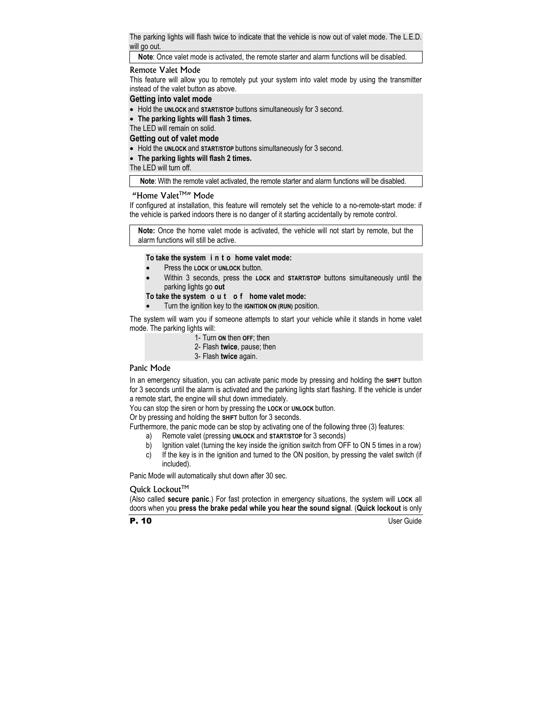The parking lights will flash twice to indicate that the vehicle is now out of valet mode. The L.E.D. will go out.

**Note**: Once valet mode is activated, the remote starter and alarm functions will be disabled.

## Remote Valet Mode

This feature will allow you to remotely put your system into valet mode by using the transmitter instead of the valet button as above.

## **Getting into valet mode**

- Hold the **UNLOCK** and **START/STOP** buttons simultaneously for 3 second.
- **The parking lights will flash 3 times.**

The LED will remain on solid.

#### **Getting out of valet mode**

- Hold the **UNLOCK** and **START/STOP** buttons simultaneously for 3 second.
- **The parking lights will flash 2 times.**

The LED will turn off.

**Note**: With the remote valet activated, the remote starter and alarm functions will be disabled.

#### "Home Valet<sup>TM"</sup> Mode

If configured at installation, this feature will remotely set the vehicle to a no-remote-start mode: if the vehicle is parked indoors there is no danger of it starting accidentally by remote control.

**Note:** Once the home valet mode is activated, the vehicle will not start by remote, but the alarm functions will still be active.

#### **To take the system i n t o home valet mode:**

- Press the **LOCK** or **UNLOCK** button.
- Within 3 seconds, press the **LOCK** and **START/STOP** buttons simultaneously until the parking lights go **out**

**To take the system o u t o f home valet mode:** 

• Turn the ignition key to the **IGNITION ON (RUN)** position.

The system will warn you if someone attempts to start your vehicle while it stands in home valet mode. The parking lights will:

- 1- Turn **ON** then **OFF**; then
- 2- Flash **twice**, pause; then
- 3- Flash **twice** again.

## Panic Mode

In an emergency situation, you can activate panic mode by pressing and holding the **SHIFT** button for 3 seconds until the alarm is activated and the parking lights start flashing. If the vehicle is under a remote start, the engine will shut down immediately.

You can stop the siren or horn by pressing the **LOCK** or **UNLOCK** button.

Or by pressing and holding the **SHIFT** button for 3 seconds.

Furthermore, the panic mode can be stop by activating one of the following three (3) features:

- a) Remote valet (pressing **UNLOCK** and **START/STOP** for 3 seconds)
- b) Ignition valet (turning the key inside the ignition switch from OFF to ON 5 times in a row)
- c) If the key is in the ignition and turned to the ON position, by pressing the valet switch (if included).

Panic Mode will automatically shut down after 30 sec.

#### Quick Lockout™

(Also called **secure panic**.) For fast protection in emergency situations, the system will **LOCK** all doors when you **press the brake pedal while you hear the sound signal**. (**Quick lockout** is only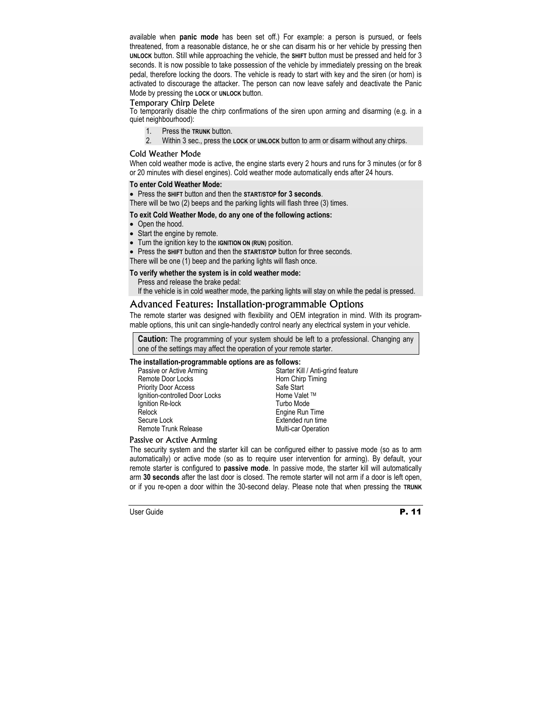available when **panic mode** has been set off.) For example: a person is pursued, or feels threatened, from a reasonable distance, he or she can disarm his or her vehicle by pressing then **UNLOCK** button. Still while approaching the vehicle, the **SHIFT** button must be pressed and held for 3 seconds. It is now possible to take possession of the vehicle by immediately pressing on the break pedal, therefore locking the doors. The vehicle is ready to start with key and the siren (or horn) is activated to discourage the attacker. The person can now leave safely and deactivate the Panic Mode by pressing the **LOCK** or **UNLOCK** button.

## Temporary Chirp Delete

To temporarily disable the chirp confirmations of the siren upon arming and disarming (e.g. in a quiet neighbourhood):

- 1. Press the **TRUNK** button.
- 2. Within 3 sec., press the **LOCK** or **UNLOCK** button to arm or disarm without any chirps.

## Cold Weather Mode

When cold weather mode is active, the engine starts every 2 hours and runs for 3 minutes (or for 8 or 20 minutes with diesel engines). Cold weather mode automatically ends after 24 hours.

#### **To enter Cold Weather Mode:**

• Press the **SHIFT** button and then the **START/STOP for 3 seconds**.

There will be two (2) beeps and the parking lights will flash three (3) times.

#### **To exit Cold Weather Mode, do any one of the following actions:**

- Open the hood.
- Start the engine by remote.
- Turn the ignition key to the **IGNITION ON (RUN)** position.

• Press the **SHIFT** button and then the **START/STOP** button for three seconds.

There will be one (1) beep and the parking lights will flash once.

#### **To verify whether the system is in cold weather mode:**

Press and release the brake pedal:

If the vehicle is in cold weather mode, the parking lights will stay on while the pedal is pressed.

# Advanced Features: Installation-programmable Options

The remote starter was designed with flexibility and OEM integration in mind. With its programmable options, this unit can single-handedly control nearly any electrical system in your vehicle.

**Caution:** The programming of your system should be left to a professional. Changing any one of the settings may affect the operation of your remote starter.

#### **The installation-programmable options are as follows:**

Passive or Active Arming Remote Door Locks Priority Door Access Ignition-controlled Door Locks lanition Re-lock Relock Secure Lock Remote Trunk Release

Starter Kill / Anti-grind feature Horn Chirp Timing Safe Start Home Valet TM Turbo Mode Engine Run Time Extended run time Multi-car Operation

## Passive or Active Arming

The security system and the starter kill can be configured either to passive mode (so as to arm automatically) or active mode (so as to require user intervention for arming). By default, your remote starter is configured to **passive mode**. In passive mode, the starter kill will automatically arm **30 seconds** after the last door is closed. The remote starter will not arm if a door is left open, or if you re-open a door within the 30-second delay. Please note that when pressing the **TRUNK**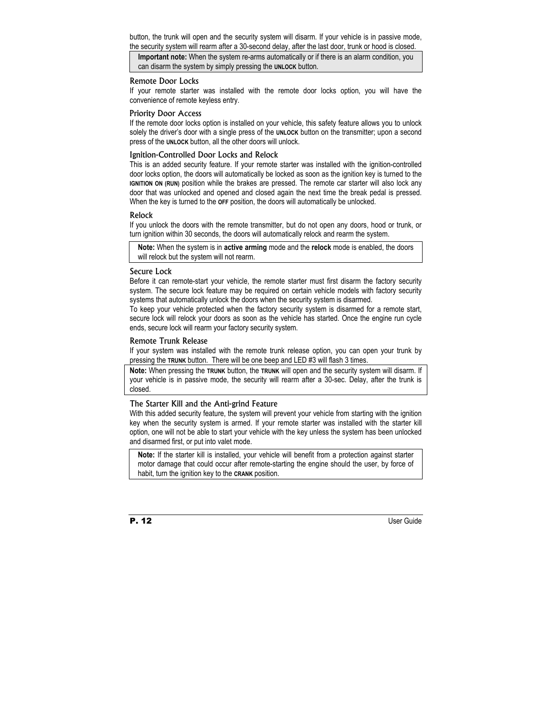button, the trunk will open and the security system will disarm. If your vehicle is in passive mode, the security system will rearm after a 30-second delay, after the last door, trunk or hood is closed.

**Important note:** When the system re-arms automatically or if there is an alarm condition, you can disarm the system by simply pressing the **UNLOCK** button.

#### Remote Door Locks

If your remote starter was installed with the remote door locks option, you will have the convenience of remote keyless entry.

#### Priority Door Access

If the remote door locks option is installed on your vehicle, this safety feature allows you to unlock solely the driver's door with a single press of the **UNLOCK** button on the transmitter; upon a second press of the **UNLOCK** button, all the other doors will unlock.

#### Ignition-Controlled Door Locks and Relock

This is an added security feature. If your remote starter was installed with the ignition-controlled door locks option, the doors will automatically be locked as soon as the ignition key is turned to the **IGNITION ON (RUN)** position while the brakes are pressed. The remote car starter will also lock any door that was unlocked and opened and closed again the next time the break pedal is pressed. When the key is turned to the **OFF** position, the doors will automatically be unlocked.

#### Relock

If you unlock the doors with the remote transmitter, but do not open any doors, hood or trunk, or turn ignition within 30 seconds, the doors will automatically relock and rearm the system.

**Note:** When the system is in **active arming** mode and the **relock** mode is enabled, the doors will relock but the system will not rearm.

#### Secure Lock

Before it can remote-start your vehicle, the remote starter must first disarm the factory security system. The secure lock feature may be required on certain vehicle models with factory security systems that automatically unlock the doors when the security system is disarmed.

To keep your vehicle protected when the factory security system is disarmed for a remote start, secure lock will relock your doors as soon as the vehicle has started. Once the engine run cycle ends, secure lock will rearm your factory security system.

#### Remote Trunk Release

If your system was installed with the remote trunk release option, you can open your trunk by pressing the **TRUNK** button. There will be one beep and LED #3 will flash 3 times.

**Note:** When pressing the **TRUNK** button, the **TRUNK** will open and the security system will disarm. If your vehicle is in passive mode, the security will rearm after a 30-sec. Delay, after the trunk is closed.

#### The Starter Kill and the Anti-grind Feature

With this added security feature, the system will prevent your vehicle from starting with the ignition key when the security system is armed. If your remote starter was installed with the starter kill option, one will not be able to start your vehicle with the key unless the system has been unlocked and disarmed first, or put into valet mode.

**Note:** If the starter kill is installed, your vehicle will benefit from a protection against starter motor damage that could occur after remote-starting the engine should the user, by force of habit, turn the ignition key to the **CRANK** position.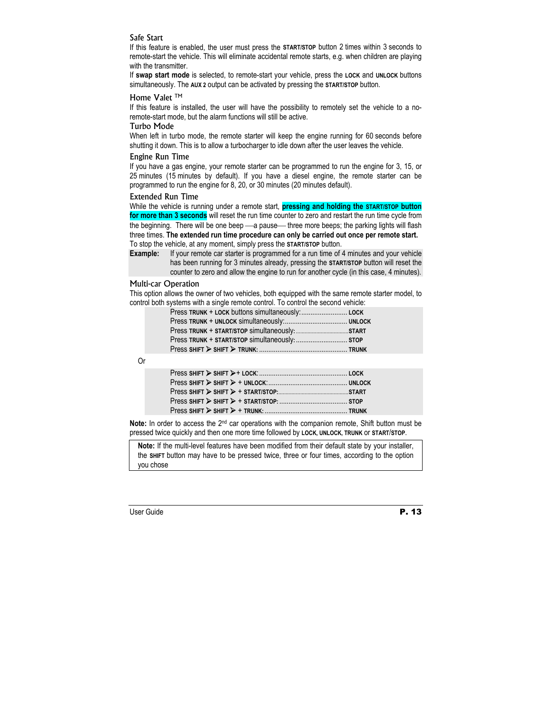## Safe Start

If this feature is enabled, the user must press the **START/STOP** button 2 times within 3 seconds to remote-start the vehicle. This will eliminate accidental remote starts, e.g. when children are playing with the transmitter.

If **swap start mode** is selected, to remote-start your vehicle, press the **LOCK** and **UNLOCK** buttons simultaneously. The **AUX 2** output can be activated by pressing the **START/STOP** button.

## Home Valet ™

If this feature is installed, the user will have the possibility to remotely set the vehicle to a noremote-start mode, but the alarm functions will still be active.

#### Turbo Mode

When left in turbo mode, the remote starter will keep the engine running for 60 seconds before shutting it down. This is to allow a turbocharger to idle down after the user leaves the vehicle.

#### Engine Run Time

If you have a gas engine, your remote starter can be programmed to run the engine for 3, 15, or 25 minutes (15 minutes by default). If you have a diesel engine, the remote starter can be programmed to run the engine for 8, 20, or 30 minutes (20 minutes default).

#### Extended Run Time

While the vehicle is running under a remote start, **pressing and holding the START/STOP button for more than 3 seconds** will reset the run time counter to zero and restart the run time cycle from the beginning. There will be one beep — a pause— three more beeps; the parking lights will flash three times. **The extended run time procedure can only be carried out once per remote start.**  To stop the vehicle, at any moment, simply press the **START/STOP** button.

**Example:** If your remote car starter is programmed for a run time of 4 minutes and your vehicle has been running for 3 minutes already, pressing the **START/STOP** button will reset the counter to zero and allow the engine to run for another cycle (in this case, 4 minutes).

#### Multi-car Operation

This option allows the owner of two vehicles, both equipped with the same remote starter model, to control both systems with a single remote control. To control the second vehicle:

| Press TRUNK + START/STOP simultaneously:  STOP |  |
|------------------------------------------------|--|
|                                                |  |

Or

Note: In order to access the 2<sup>nd</sup> car operations with the companion remote, Shift button must be pressed twice quickly and then one more time followed by **LOCK, UNLOCK, TRUNK** or **START**/**STOP**.

**Note:** If the multi-level features have been modified from their default state by your installer, the **SHIFT** button may have to be pressed twice, three or four times, according to the option you chose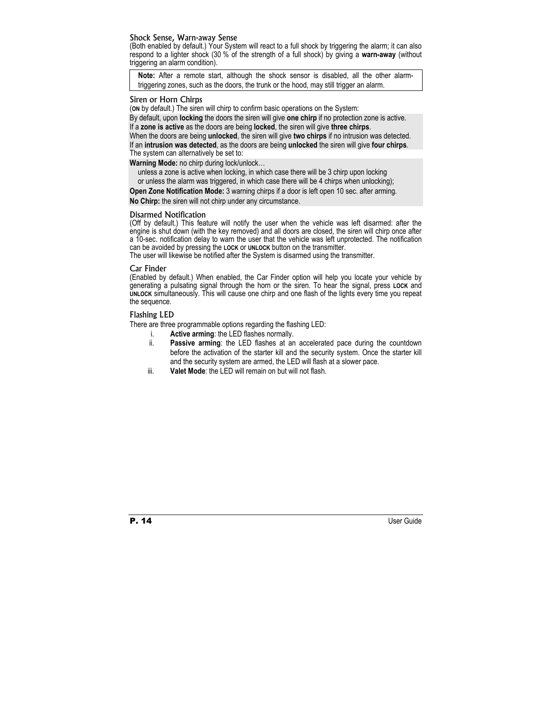#### Shock Sense, Warn-away Sense

(Both enabled by default.) Your System will react to a full shock by triggering the alarm; it can also respond to a lighter shock (30 % of the strength of a full shock) by giving a **warn-away** (without triggering an alarm condition).

**Note:** After a remote start, although the shock sensor is disabled, all the other alarmtriggering zones, such as the doors, the trunk or the hood, may still trigger an alarm.

#### Siren or Horn Chirps

(**ON** by default.) The siren will chirp to confirm basic operations on the System:

By default, upon **locking** the doors the siren will give **one chirp** if no protection zone is active. If a **zone is active** as the doors are being **locked**, the siren will give **three chirps**.

When the doors are being **unlocked**, the siren will give **two chirps** if no intrusion was detected.

If an **intrusion was detected**, as the doors are being **unlocked** the siren will give **four chirps**. The system can alternatively be set to:

**Warning Mode:** no chirp during lock/unlock…

unless a zone is active when locking, in which case there will be 3 chirp upon locking or unless the alarm was triggered, in which case there will be 4 chirps when unlocking);

**Open Zone Notification Mode:** 3 warning chirps if a door is left open 10 sec. after arming.

**No Chirp:** the siren will not chirp under any circumstance.

#### Disarmed Notification

(Off by default.) This feature will notify the user when the vehicle was left disarmed: after the engine is shut down (with the key removed) and all doors are closed, the siren will chirp once after a 10-sec. notification delay to warn the user that the vehicle was left unprotected. The notification can be avoided by pressing the **LOCK** or **UNLOCK** button on the transmitter.

The user will likewise be notified after the System is disarmed using the transmitter.

#### Car Finder

(Enabled by default.) When enabled, the Car Finder option will help you locate your vehicle by generating a pulsating signal through the horn or the siren. To hear the signal, press **LOCK** and **UNLOCK** simultaneously. This will cause one chirp and one flash of the lights every time you repeat the sequence.

#### Flashing LED

There are three programmable options regarding the flashing LED:

- i. **Active arming**: the LED flashes normally.
- ii. **Passive arming**: the LED flashes at an accelerated pace during the countdown before the activation of the starter kill and the security system. Once the starter kill and the security system are armed, the LED will flash at a slower pace.
- iii. **Valet Mode**: the LED will remain on but will not flash.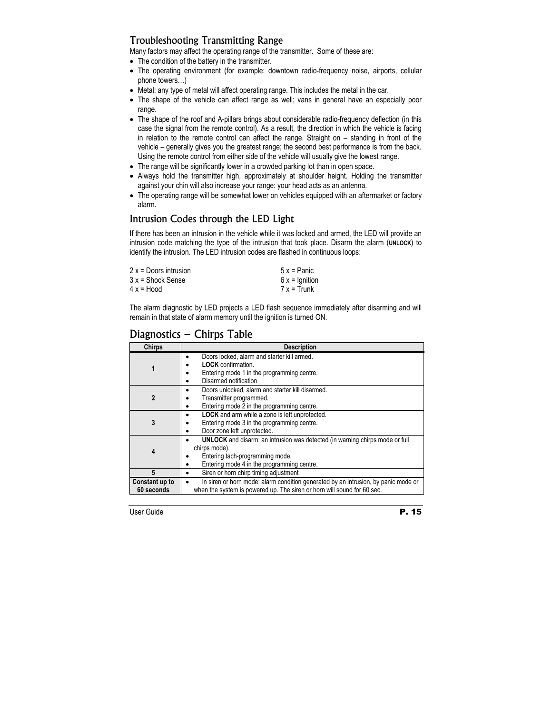# Troubleshooting Transmitting Range

Many factors may affect the operating range of the transmitter. Some of these are:

- The condition of the battery in the transmitter.
- The operating environment (for example: downtown radio-frequency noise, airports, cellular phone towers…)
- Metal: any type of metal will affect operating range. This includes the metal in the car.
- The shape of the vehicle can affect range as well; vans in general have an especially poor range.
- The shape of the roof and A-pillars brings about considerable radio-frequency deflection (in this case the signal from the remote control). As a result, the direction in which the vehicle is facing in relation to the remote control can affect the range. Straight on – standing in front of the vehicle – generally gives you the greatest range; the second best performance is from the back. Using the remote control from either side of the vehicle will usually give the lowest range.
- The range will be significantly lower in a crowded parking lot than in open space.
- Always hold the transmitter high, approximately at shoulder height. Holding the transmitter against your chin will also increase your range: your head acts as an antenna.
- The operating range will be somewhat lower on vehicles equipped with an aftermarket or factory alarm.

# Intrusion Codes through the LED Light

If there has been an intrusion in the vehicle while it was locked and armed, the LED will provide an intrusion code matching the type of the intrusion that took place. Disarm the alarm (**UNLOCK**) to identify the intrusion. The LED intrusion codes are flashed in continuous loops:

| $2x =$ Doors intrusion | $5x =$ Panic    |
|------------------------|-----------------|
| $3x =$ Shock Sense     | $6x =$ Ignition |
| $4x = Hood$            | $7x = Trunk$    |

The alarm diagnostic by LED projects a LED flash sequence immediately after disarming and will remain in that state of alarm memory until the ignition is turned ON.

| <b>Chirps</b>                | <b>Description</b>                                                                                                                                                                         |
|------------------------------|--------------------------------------------------------------------------------------------------------------------------------------------------------------------------------------------|
|                              | Doors locked, alarm and starter kill armed.<br>$\bullet$<br><b>LOCK</b> confirmation.<br>Entering mode 1 in the programming centre.<br>Disarmed notification<br>٠                          |
| 2                            | Doors unlocked, alarm and starter kill disarmed.<br>$\bullet$<br>Transmitter programmed.<br>$\bullet$<br>Entering mode 2 in the programming centre.<br>$\bullet$                           |
| 3                            | LOCK and arm while a zone is left unprotected.<br>$\bullet$<br>Entering mode 3 in the programming centre.<br>$\bullet$<br>Door zone left unprotected.<br>$\bullet$                         |
| 4                            | <b>UNLOCK</b> and disarm: an intrusion was detected (in warning chirps mode or full<br>chirps mode).<br>Entering tach-programming mode.<br>Entering mode 4 in the programming centre.<br>٠ |
| 5                            | Siren or horn chirp timing adjustment<br>$\bullet$                                                                                                                                         |
| Constant up to<br>60 seconds | In siren or horn mode: alarm condition generated by an intrusion, by panic mode or<br>٠<br>when the system is powered up. The siren or horn will sound for 60 sec.                         |

# Diagnostics – Chirps Table